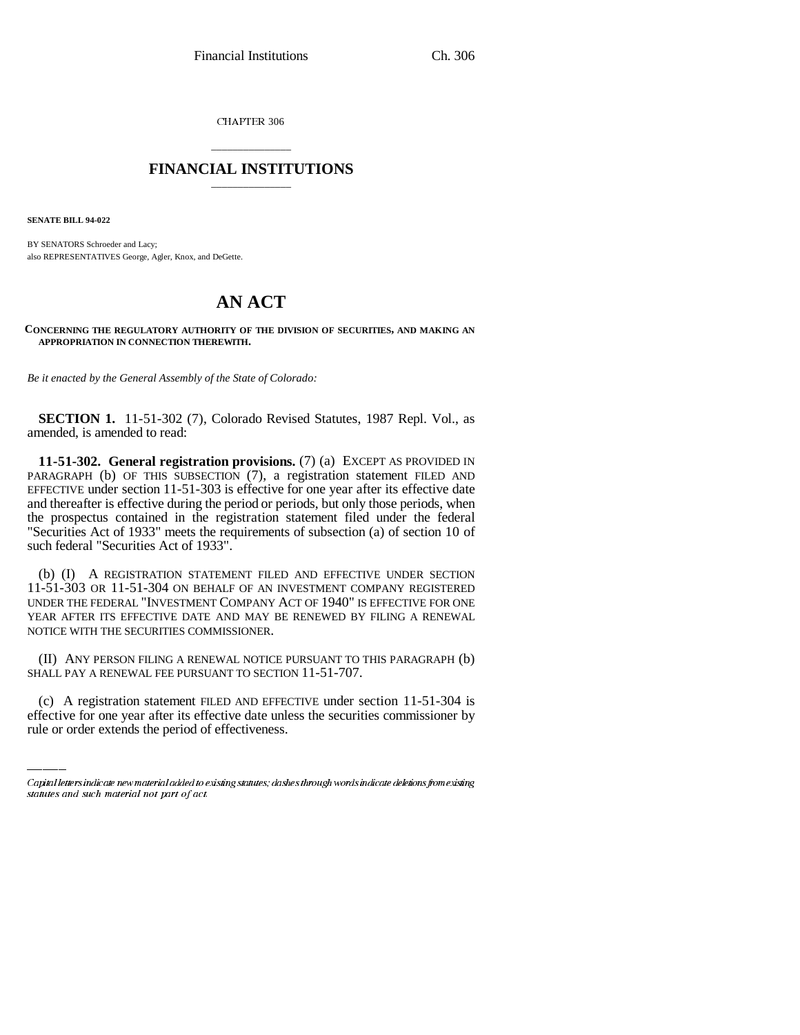CHAPTER 306

## \_\_\_\_\_\_\_\_\_\_\_\_\_\_\_ **FINANCIAL INSTITUTIONS** \_\_\_\_\_\_\_\_\_\_\_\_\_\_\_

**SENATE BILL 94-022**

BY SENATORS Schroeder and Lacy; also REPRESENTATIVES George, Agler, Knox, and DeGette.

# **AN ACT**

**CONCERNING THE REGULATORY AUTHORITY OF THE DIVISION OF SECURITIES, AND MAKING AN APPROPRIATION IN CONNECTION THEREWITH.**

*Be it enacted by the General Assembly of the State of Colorado:*

**SECTION 1.** 11-51-302 (7), Colorado Revised Statutes, 1987 Repl. Vol., as amended, is amended to read:

**11-51-302. General registration provisions.** (7) (a) EXCEPT AS PROVIDED IN PARAGRAPH (b) OF THIS SUBSECTION (7), a registration statement FILED AND EFFECTIVE under section 11-51-303 is effective for one year after its effective date and thereafter is effective during the period or periods, but only those periods, when the prospectus contained in the registration statement filed under the federal "Securities Act of 1933" meets the requirements of subsection (a) of section 10 of such federal "Securities Act of 1933".

(b) (I) A REGISTRATION STATEMENT FILED AND EFFECTIVE UNDER SECTION 11-51-303 OR 11-51-304 ON BEHALF OF AN INVESTMENT COMPANY REGISTERED UNDER THE FEDERAL "INVESTMENT COMPANY ACT OF 1940" IS EFFECTIVE FOR ONE YEAR AFTER ITS EFFECTIVE DATE AND MAY BE RENEWED BY FILING A RENEWAL NOTICE WITH THE SECURITIES COMMISSIONER.

SHALL PAY A RENEWAL FEE PURSUANT TO SECTION 11-51-707. (II) ANY PERSON FILING A RENEWAL NOTICE PURSUANT TO THIS PARAGRAPH (b)

(c) A registration statement FILED AND EFFECTIVE under section 11-51-304 is effective for one year after its effective date unless the securities commissioner by rule or order extends the period of effectiveness.

Capital letters indicate new material added to existing statutes; dashes through words indicate deletions from existing statutes and such material not part of act.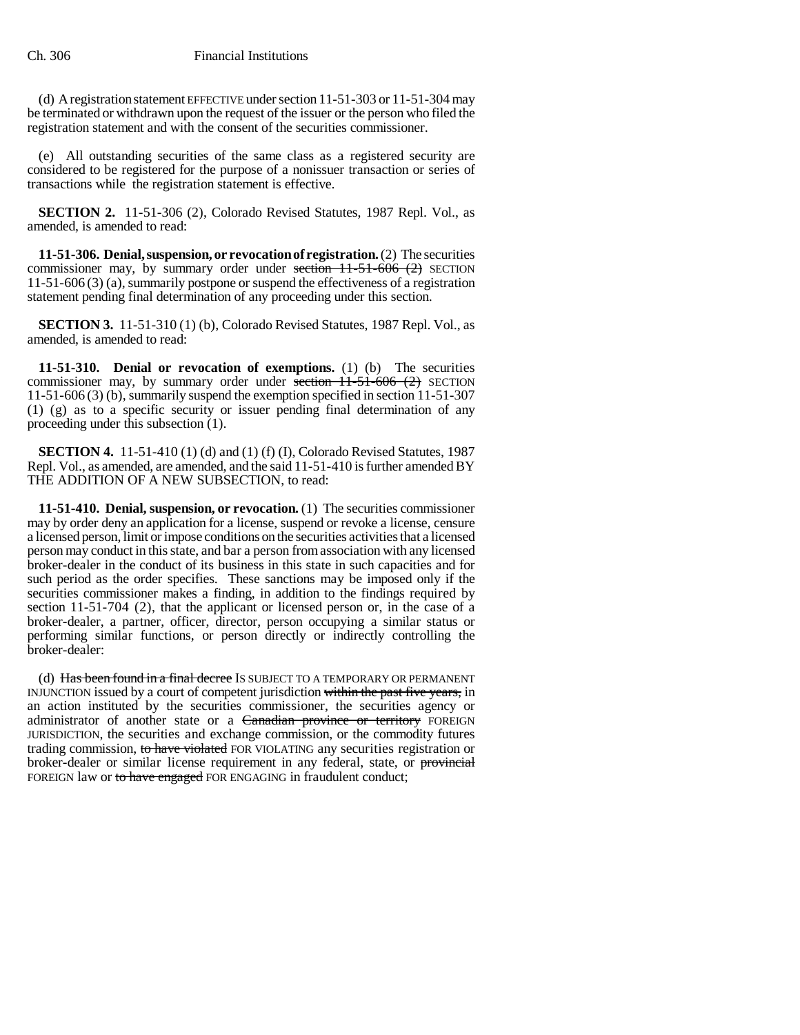(d) A registration statement EFFECTIVE under section 11-51-303 or 11-51-304 may be terminated or withdrawn upon the request of the issuer or the person who filed the registration statement and with the consent of the securities commissioner.

(e) All outstanding securities of the same class as a registered security are considered to be registered for the purpose of a nonissuer transaction or series of transactions while the registration statement is effective.

**SECTION 2.** 11-51-306 (2), Colorado Revised Statutes, 1987 Repl. Vol., as amended, is amended to read:

**11-51-306. Denial, suspension, or revocation of registration.** (2) The securities commissioner may, by summary order under section 11-51-606 (2) SECTION 11-51-606 (3) (a), summarily postpone or suspend the effectiveness of a registration statement pending final determination of any proceeding under this section.

**SECTION 3.** 11-51-310 (1) (b), Colorado Revised Statutes, 1987 Repl. Vol., as amended, is amended to read:

**11-51-310. Denial or revocation of exemptions.** (1) (b) The securities commissioner may, by summary order under section  $11-51-606$  (2) SECTION 11-51-606 (3) (b), summarily suspend the exemption specified in section 11-51-307 (1) (g) as to a specific security or issuer pending final determination of any proceeding under this subsection (1).

**SECTION 4.** 11-51-410 (1) (d) and (1) (f) (I), Colorado Revised Statutes, 1987 Repl. Vol., as amended, are amended, and the said 11-51-410 is further amended BY THE ADDITION OF A NEW SUBSECTION, to read:

**11-51-410. Denial, suspension, or revocation.** (1) The securities commissioner may by order deny an application for a license, suspend or revoke a license, censure a licensed person, limit or impose conditions on the securities activities that a licensed person may conduct in this state, and bar a person from association with any licensed broker-dealer in the conduct of its business in this state in such capacities and for such period as the order specifies. These sanctions may be imposed only if the securities commissioner makes a finding, in addition to the findings required by section 11-51-704 (2), that the applicant or licensed person or, in the case of a broker-dealer, a partner, officer, director, person occupying a similar status or performing similar functions, or person directly or indirectly controlling the broker-dealer:

(d) Has been found in a final decree IS SUBJECT TO A TEMPORARY OR PERMANENT INJUNCTION issued by a court of competent jurisdiction within the past five years, in an action instituted by the securities commissioner, the securities agency or administrator of another state or a Canadian province or territory FOREIGN JURISDICTION, the securities and exchange commission, or the commodity futures trading commission, to have violated FOR VIOLATING any securities registration or broker-dealer or similar license requirement in any federal, state, or provincial FOREIGN law or to have engaged FOR ENGAGING in fraudulent conduct;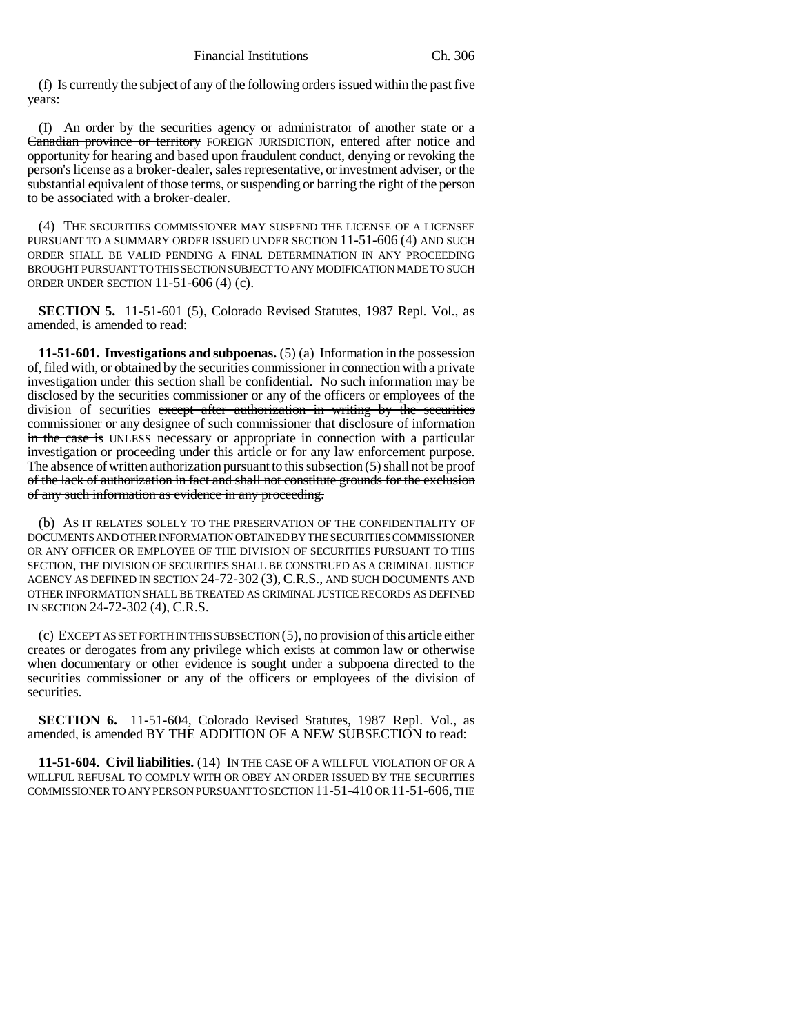(f) Is currently the subject of any of the following orders issued within the past five years:

(I) An order by the securities agency or administrator of another state or a Canadian province or territory FOREIGN JURISDICTION, entered after notice and opportunity for hearing and based upon fraudulent conduct, denying or revoking the person's license as a broker-dealer, sales representative, or investment adviser, or the substantial equivalent of those terms, or suspending or barring the right of the person to be associated with a broker-dealer.

(4) THE SECURITIES COMMISSIONER MAY SUSPEND THE LICENSE OF A LICENSEE PURSUANT TO A SUMMARY ORDER ISSUED UNDER SECTION 11-51-606 (4) AND SUCH ORDER SHALL BE VALID PENDING A FINAL DETERMINATION IN ANY PROCEEDING BROUGHT PURSUANT TO THIS SECTION SUBJECT TO ANY MODIFICATION MADE TO SUCH ORDER UNDER SECTION 11-51-606 (4) (c).

**SECTION 5.** 11-51-601 (5), Colorado Revised Statutes, 1987 Repl. Vol., as amended, is amended to read:

**11-51-601. Investigations and subpoenas.** (5) (a) Information in the possession of, filed with, or obtained by the securities commissioner in connection with a private investigation under this section shall be confidential. No such information may be disclosed by the securities commissioner or any of the officers or employees of the division of securities except after authorization in writing by the securities commissioner or any designee of such commissioner that disclosure of information in the case is UNLESS necessary or appropriate in connection with a particular investigation or proceeding under this article or for any law enforcement purpose. The absence of written authorization pursuant to this subsection (5) shall not be proof of the lack of authorization in fact and shall not constitute grounds for the exclusion of any such information as evidence in any proceeding.

(b) AS IT RELATES SOLELY TO THE PRESERVATION OF THE CONFIDENTIALITY OF DOCUMENTS AND OTHER INFORMATION OBTAINED BY THE SECURITIES COMMISSIONER OR ANY OFFICER OR EMPLOYEE OF THE DIVISION OF SECURITIES PURSUANT TO THIS SECTION, THE DIVISION OF SECURITIES SHALL BE CONSTRUED AS A CRIMINAL JUSTICE AGENCY AS DEFINED IN SECTION 24-72-302 (3), C.R.S., AND SUCH DOCUMENTS AND OTHER INFORMATION SHALL BE TREATED AS CRIMINAL JUSTICE RECORDS AS DEFINED IN SECTION 24-72-302 (4), C.R.S.

(c) EXCEPT AS SET FORTH IN THIS SUBSECTION (5), no provision of this article either creates or derogates from any privilege which exists at common law or otherwise when documentary or other evidence is sought under a subpoena directed to the securities commissioner or any of the officers or employees of the division of securities.

**SECTION 6.** 11-51-604, Colorado Revised Statutes, 1987 Repl. Vol., as amended, is amended BY THE ADDITION OF A NEW SUBSECTION to read:

**11-51-604. Civil liabilities.** (14) IN THE CASE OF A WILLFUL VIOLATION OF OR A WILLFUL REFUSAL TO COMPLY WITH OR OBEY AN ORDER ISSUED BY THE SECURITIES COMMISSIONER TO ANY PERSON PURSUANT TO SECTION 11-51-410 OR 11-51-606, THE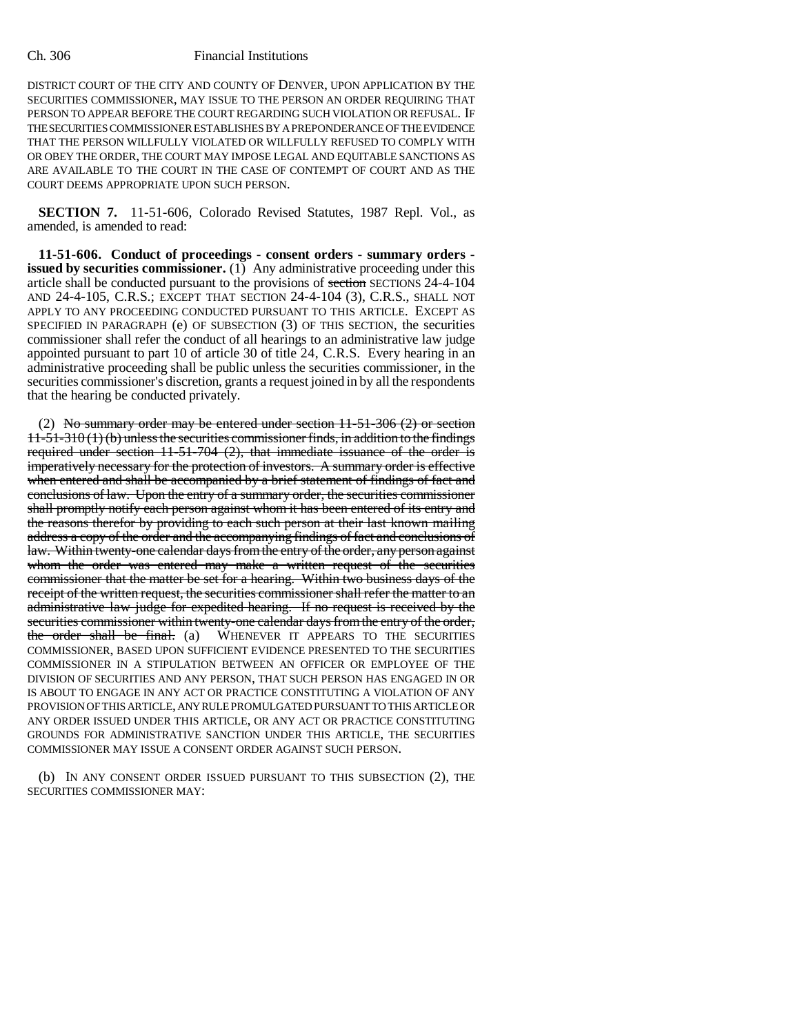#### Ch. 306 Financial Institutions

DISTRICT COURT OF THE CITY AND COUNTY OF DENVER, UPON APPLICATION BY THE SECURITIES COMMISSIONER, MAY ISSUE TO THE PERSON AN ORDER REQUIRING THAT PERSON TO APPEAR BEFORE THE COURT REGARDING SUCH VIOLATION OR REFUSAL. IF THE SECURITIES COMMISSIONER ESTABLISHES BY A PREPONDERANCE OF THE EVIDENCE THAT THE PERSON WILLFULLY VIOLATED OR WILLFULLY REFUSED TO COMPLY WITH OR OBEY THE ORDER, THE COURT MAY IMPOSE LEGAL AND EQUITABLE SANCTIONS AS ARE AVAILABLE TO THE COURT IN THE CASE OF CONTEMPT OF COURT AND AS THE COURT DEEMS APPROPRIATE UPON SUCH PERSON.

**SECTION 7.** 11-51-606, Colorado Revised Statutes, 1987 Repl. Vol., as amended, is amended to read:

**11-51-606. Conduct of proceedings - consent orders - summary orders issued by securities commissioner.** (1) Any administrative proceeding under this article shall be conducted pursuant to the provisions of section SECTIONS 24-4-104 AND 24-4-105, C.R.S.; EXCEPT THAT SECTION 24-4-104 (3), C.R.S., SHALL NOT APPLY TO ANY PROCEEDING CONDUCTED PURSUANT TO THIS ARTICLE. EXCEPT AS SPECIFIED IN PARAGRAPH (e) OF SUBSECTION (3) OF THIS SECTION, the securities commissioner shall refer the conduct of all hearings to an administrative law judge appointed pursuant to part 10 of article 30 of title 24, C.R.S. Every hearing in an administrative proceeding shall be public unless the securities commissioner, in the securities commissioner's discretion, grants a request joined in by all the respondents that the hearing be conducted privately.

(2) No summary order may be entered under section 11-51-306 (2) or section  $11-51-310(1)(b)$  unless the securities commissioner finds, in addition to the findings required under section  $11-51-704$  (2), that immediate issuance of the order is imperatively necessary for the protection of investors. A summary order is effective when entered and shall be accompanied by a brief statement of findings of fact and conclusions of law. Upon the entry of a summary order, the securities commissioner shall promptly notify each person against whom it has been entered of its entry and the reasons therefor by providing to each such person at their last known mailing address a copy of the order and the accompanying findings of fact and conclusions of law. Within twenty-one calendar days from the entry of the order, any person against whom the order was entered may make a written request of the securities commissioner that the matter be set for a hearing. Within two business days of the receipt of the written request, the securities commissioner shall refer the matter to an administrative law judge for expedited hearing. If no request is received by the securities commissioner within twenty-one calendar days from the entry of the order, the order shall be final. (a) WHENEVER IT APPEARS TO THE SECURITIES COMMISSIONER, BASED UPON SUFFICIENT EVIDENCE PRESENTED TO THE SECURITIES COMMISSIONER IN A STIPULATION BETWEEN AN OFFICER OR EMPLOYEE OF THE DIVISION OF SECURITIES AND ANY PERSON, THAT SUCH PERSON HAS ENGAGED IN OR IS ABOUT TO ENGAGE IN ANY ACT OR PRACTICE CONSTITUTING A VIOLATION OF ANY PROVISION OF THIS ARTICLE, ANY RULE PROMULGATED PURSUANT TO THIS ARTICLE OR ANY ORDER ISSUED UNDER THIS ARTICLE, OR ANY ACT OR PRACTICE CONSTITUTING GROUNDS FOR ADMINISTRATIVE SANCTION UNDER THIS ARTICLE, THE SECURITIES COMMISSIONER MAY ISSUE A CONSENT ORDER AGAINST SUCH PERSON.

(b) IN ANY CONSENT ORDER ISSUED PURSUANT TO THIS SUBSECTION (2), THE SECURITIES COMMISSIONER MAY: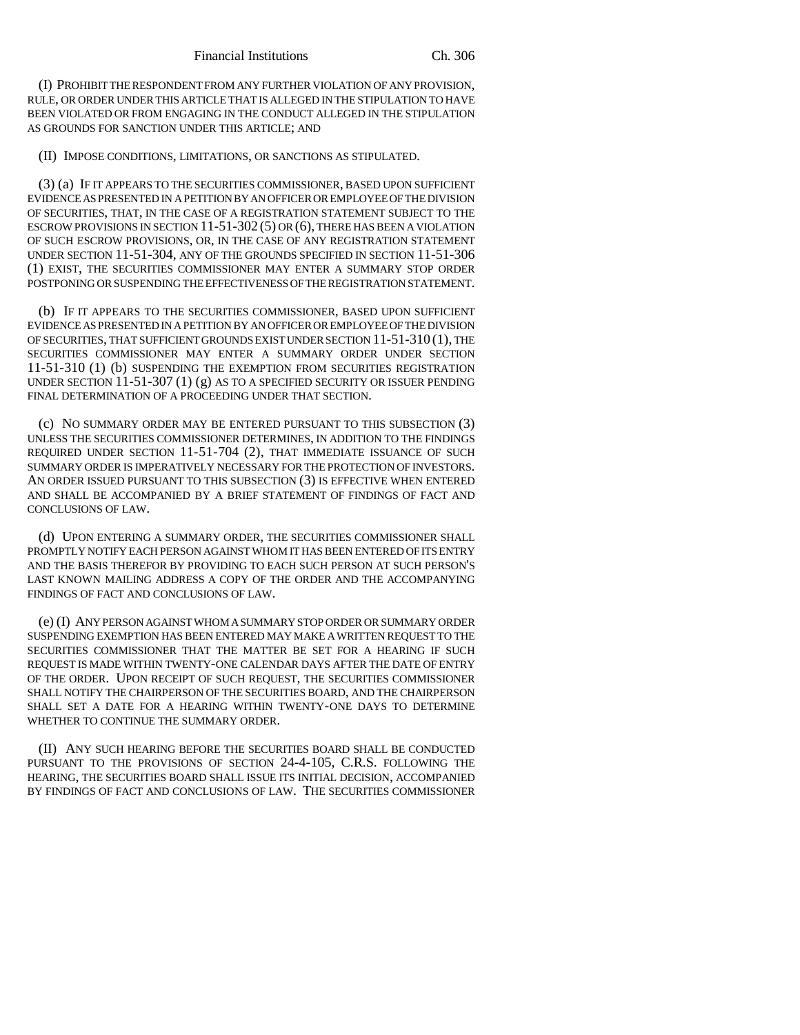(I) PROHIBIT THE RESPONDENT FROM ANY FURTHER VIOLATION OF ANY PROVISION, RULE, OR ORDER UNDER THIS ARTICLE THAT IS ALLEGED IN THE STIPULATION TO HAVE BEEN VIOLATED OR FROM ENGAGING IN THE CONDUCT ALLEGED IN THE STIPULATION AS GROUNDS FOR SANCTION UNDER THIS ARTICLE; AND

(II) IMPOSE CONDITIONS, LIMITATIONS, OR SANCTIONS AS STIPULATED.

(3) (a) IF IT APPEARS TO THE SECURITIES COMMISSIONER, BASED UPON SUFFICIENT EVIDENCE AS PRESENTED IN A PETITION BY AN OFFICER OR EMPLOYEE OF THE DIVISION OF SECURITIES, THAT, IN THE CASE OF A REGISTRATION STATEMENT SUBJECT TO THE ESCROW PROVISIONS IN SECTION  $11-51-302(5)$  OR  $(6)$ , THERE HAS BEEN A VIOLATION OF SUCH ESCROW PROVISIONS, OR, IN THE CASE OF ANY REGISTRATION STATEMENT UNDER SECTION 11-51-304, ANY OF THE GROUNDS SPECIFIED IN SECTION 11-51-306 (1) EXIST, THE SECURITIES COMMISSIONER MAY ENTER A SUMMARY STOP ORDER POSTPONING OR SUSPENDING THE EFFECTIVENESS OF THE REGISTRATION STATEMENT.

(b) IF IT APPEARS TO THE SECURITIES COMMISSIONER, BASED UPON SUFFICIENT EVIDENCE AS PRESENTED IN A PETITION BY AN OFFICER OR EMPLOYEE OF THE DIVISION OF SECURITIES, THAT SUFFICIENT GROUNDS EXIST UNDER SECTION 11-51-310 (1), THE SECURITIES COMMISSIONER MAY ENTER A SUMMARY ORDER UNDER SECTION 11-51-310 (1) (b) SUSPENDING THE EXEMPTION FROM SECURITIES REGISTRATION UNDER SECTION 11-51-307 (1) (g) AS TO A SPECIFIED SECURITY OR ISSUER PENDING FINAL DETERMINATION OF A PROCEEDING UNDER THAT SECTION.

(c) NO SUMMARY ORDER MAY BE ENTERED PURSUANT TO THIS SUBSECTION (3) UNLESS THE SECURITIES COMMISSIONER DETERMINES, IN ADDITION TO THE FINDINGS REQUIRED UNDER SECTION 11-51-704 (2), THAT IMMEDIATE ISSUANCE OF SUCH SUMMARY ORDER IS IMPERATIVELY NECESSARY FOR THE PROTECTION OF INVESTORS. AN ORDER ISSUED PURSUANT TO THIS SUBSECTION (3) IS EFFECTIVE WHEN ENTERED AND SHALL BE ACCOMPANIED BY A BRIEF STATEMENT OF FINDINGS OF FACT AND CONCLUSIONS OF LAW.

(d) UPON ENTERING A SUMMARY ORDER, THE SECURITIES COMMISSIONER SHALL PROMPTLY NOTIFY EACH PERSON AGAINST WHOM IT HAS BEEN ENTERED OF ITS ENTRY AND THE BASIS THEREFOR BY PROVIDING TO EACH SUCH PERSON AT SUCH PERSON'S LAST KNOWN MAILING ADDRESS A COPY OF THE ORDER AND THE ACCOMPANYING FINDINGS OF FACT AND CONCLUSIONS OF LAW.

(e) (I) ANY PERSON AGAINST WHOM A SUMMARY STOP ORDER OR SUMMARY ORDER SUSPENDING EXEMPTION HAS BEEN ENTERED MAY MAKE A WRITTEN REQUEST TO THE SECURITIES COMMISSIONER THAT THE MATTER BE SET FOR A HEARING IF SUCH REQUEST IS MADE WITHIN TWENTY-ONE CALENDAR DAYS AFTER THE DATE OF ENTRY OF THE ORDER. UPON RECEIPT OF SUCH REQUEST, THE SECURITIES COMMISSIONER SHALL NOTIFY THE CHAIRPERSON OF THE SECURITIES BOARD, AND THE CHAIRPERSON SHALL SET A DATE FOR A HEARING WITHIN TWENTY-ONE DAYS TO DETERMINE WHETHER TO CONTINUE THE SUMMARY ORDER.

(II) ANY SUCH HEARING BEFORE THE SECURITIES BOARD SHALL BE CONDUCTED PURSUANT TO THE PROVISIONS OF SECTION 24-4-105, C.R.S. FOLLOWING THE HEARING, THE SECURITIES BOARD SHALL ISSUE ITS INITIAL DECISION, ACCOMPANIED BY FINDINGS OF FACT AND CONCLUSIONS OF LAW. THE SECURITIES COMMISSIONER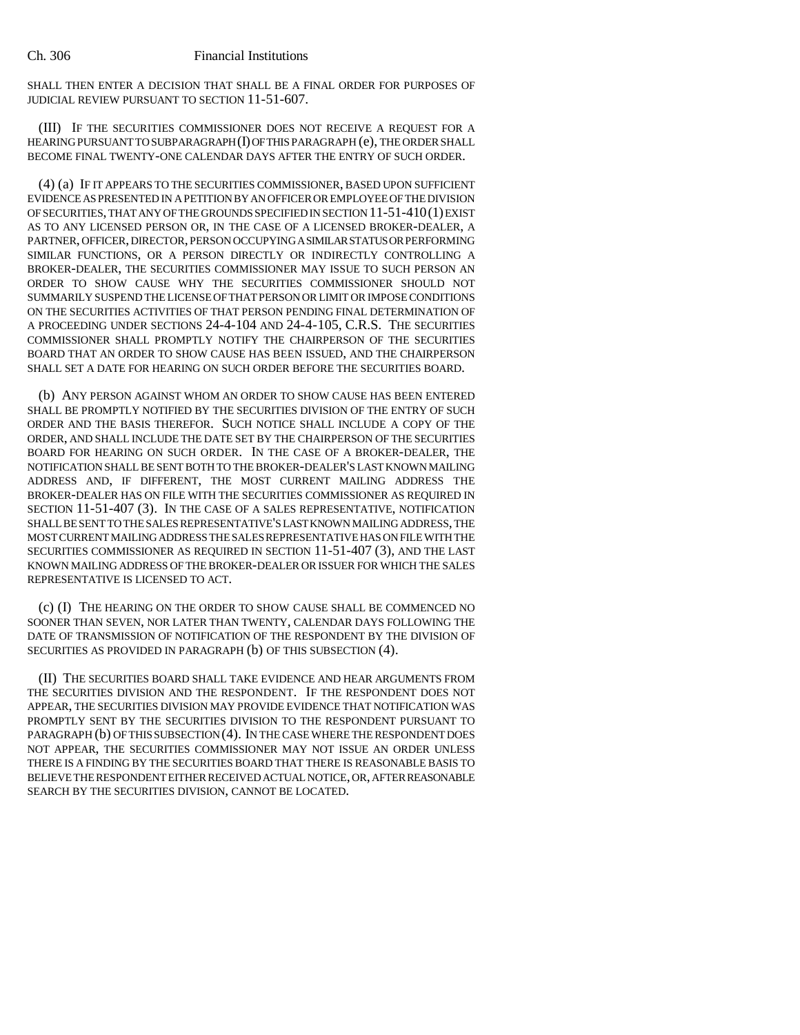#### Ch. 306 Financial Institutions

SHALL THEN ENTER A DECISION THAT SHALL BE A FINAL ORDER FOR PURPOSES OF JUDICIAL REVIEW PURSUANT TO SECTION 11-51-607.

(III) IF THE SECURITIES COMMISSIONER DOES NOT RECEIVE A REQUEST FOR A HEARING PURSUANT TO SUBPARAGRAPH (I) OF THIS PARAGRAPH (e), THE ORDER SHALL BECOME FINAL TWENTY-ONE CALENDAR DAYS AFTER THE ENTRY OF SUCH ORDER.

(4) (a) IF IT APPEARS TO THE SECURITIES COMMISSIONER, BASED UPON SUFFICIENT EVIDENCE AS PRESENTED IN A PETITION BY AN OFFICER OR EMPLOYEE OF THE DIVISION OF SECURITIES, THAT ANY OF THE GROUNDS SPECIFIED IN SECTION 11-51-410(1) EXIST AS TO ANY LICENSED PERSON OR, IN THE CASE OF A LICENSED BROKER-DEALER, A PARTNER, OFFICER, DIRECTOR, PERSON OCCUPYING A SIMILAR STATUS OR PERFORMING SIMILAR FUNCTIONS, OR A PERSON DIRECTLY OR INDIRECTLY CONTROLLING A BROKER-DEALER, THE SECURITIES COMMISSIONER MAY ISSUE TO SUCH PERSON AN ORDER TO SHOW CAUSE WHY THE SECURITIES COMMISSIONER SHOULD NOT SUMMARILY SUSPEND THE LICENSE OF THAT PERSON OR LIMIT OR IMPOSE CONDITIONS ON THE SECURITIES ACTIVITIES OF THAT PERSON PENDING FINAL DETERMINATION OF A PROCEEDING UNDER SECTIONS 24-4-104 AND 24-4-105, C.R.S. THE SECURITIES COMMISSIONER SHALL PROMPTLY NOTIFY THE CHAIRPERSON OF THE SECURITIES BOARD THAT AN ORDER TO SHOW CAUSE HAS BEEN ISSUED, AND THE CHAIRPERSON SHALL SET A DATE FOR HEARING ON SUCH ORDER BEFORE THE SECURITIES BOARD.

(b) ANY PERSON AGAINST WHOM AN ORDER TO SHOW CAUSE HAS BEEN ENTERED SHALL BE PROMPTLY NOTIFIED BY THE SECURITIES DIVISION OF THE ENTRY OF SUCH ORDER AND THE BASIS THEREFOR. SUCH NOTICE SHALL INCLUDE A COPY OF THE ORDER, AND SHALL INCLUDE THE DATE SET BY THE CHAIRPERSON OF THE SECURITIES BOARD FOR HEARING ON SUCH ORDER. IN THE CASE OF A BROKER-DEALER, THE NOTIFICATION SHALL BE SENT BOTH TO THE BROKER-DEALER'S LAST KNOWN MAILING ADDRESS AND, IF DIFFERENT, THE MOST CURRENT MAILING ADDRESS THE BROKER-DEALER HAS ON FILE WITH THE SECURITIES COMMISSIONER AS REQUIRED IN SECTION 11-51-407 (3). IN THE CASE OF A SALES REPRESENTATIVE, NOTIFICATION SHALL BE SENT TO THE SALES REPRESENTATIVE'S LAST KNOWN MAILING ADDRESS, THE MOST CURRENT MAILING ADDRESS THE SALES REPRESENTATIVE HAS ON FILE WITH THE SECURITIES COMMISSIONER AS REQUIRED IN SECTION 11-51-407 (3), AND THE LAST KNOWN MAILING ADDRESS OF THE BROKER-DEALER OR ISSUER FOR WHICH THE SALES REPRESENTATIVE IS LICENSED TO ACT.

(c) (I) THE HEARING ON THE ORDER TO SHOW CAUSE SHALL BE COMMENCED NO SOONER THAN SEVEN, NOR LATER THAN TWENTY, CALENDAR DAYS FOLLOWING THE DATE OF TRANSMISSION OF NOTIFICATION OF THE RESPONDENT BY THE DIVISION OF SECURITIES AS PROVIDED IN PARAGRAPH (b) OF THIS SUBSECTION (4).

(II) THE SECURITIES BOARD SHALL TAKE EVIDENCE AND HEAR ARGUMENTS FROM THE SECURITIES DIVISION AND THE RESPONDENT. IF THE RESPONDENT DOES NOT APPEAR, THE SECURITIES DIVISION MAY PROVIDE EVIDENCE THAT NOTIFICATION WAS PROMPTLY SENT BY THE SECURITIES DIVISION TO THE RESPONDENT PURSUANT TO PARAGRAPH (b) OF THIS SUBSECTION (4). IN THE CASE WHERE THE RESPONDENT DOES NOT APPEAR, THE SECURITIES COMMISSIONER MAY NOT ISSUE AN ORDER UNLESS THERE IS A FINDING BY THE SECURITIES BOARD THAT THERE IS REASONABLE BASIS TO BELIEVE THE RESPONDENT EITHER RECEIVED ACTUAL NOTICE, OR, AFTER REASONABLE SEARCH BY THE SECURITIES DIVISION, CANNOT BE LOCATED.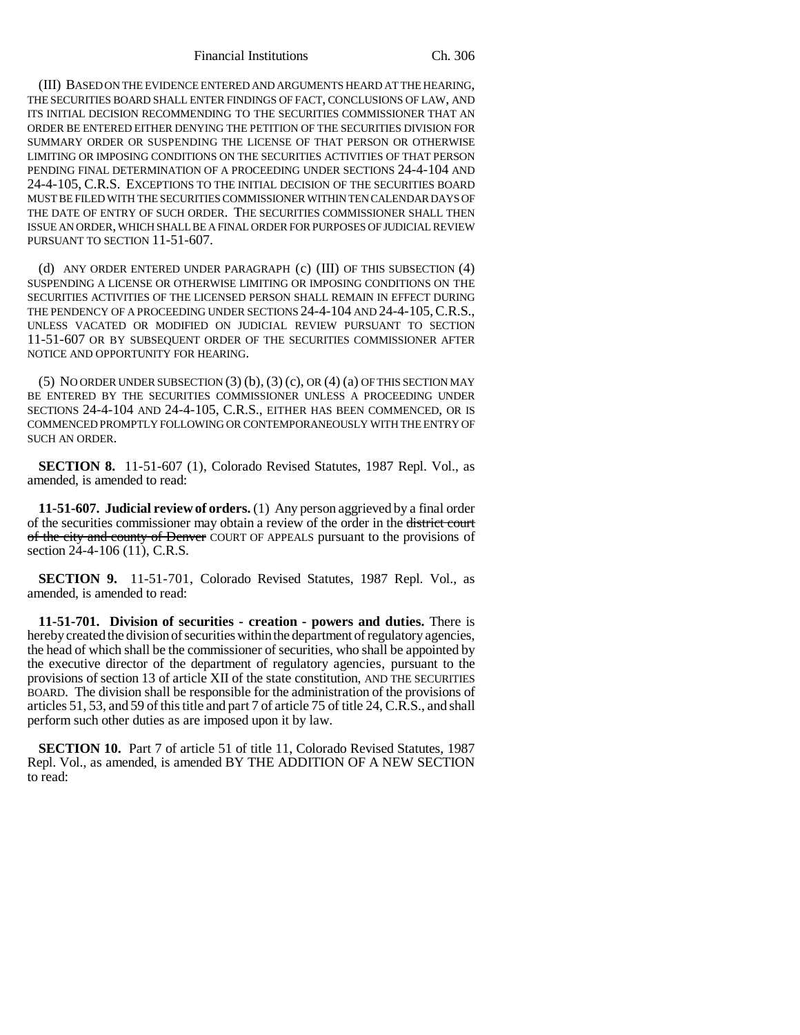(III) BASED ON THE EVIDENCE ENTERED AND ARGUMENTS HEARD AT THE HEARING, THE SECURITIES BOARD SHALL ENTER FINDINGS OF FACT, CONCLUSIONS OF LAW, AND ITS INITIAL DECISION RECOMMENDING TO THE SECURITIES COMMISSIONER THAT AN ORDER BE ENTERED EITHER DENYING THE PETITION OF THE SECURITIES DIVISION FOR SUMMARY ORDER OR SUSPENDING THE LICENSE OF THAT PERSON OR OTHERWISE LIMITING OR IMPOSING CONDITIONS ON THE SECURITIES ACTIVITIES OF THAT PERSON PENDING FINAL DETERMINATION OF A PROCEEDING UNDER SECTIONS 24-4-104 AND 24-4-105, C.R.S. EXCEPTIONS TO THE INITIAL DECISION OF THE SECURITIES BOARD MUST BE FILED WITH THE SECURITIES COMMISSIONER WITHIN TEN CALENDAR DAYS OF THE DATE OF ENTRY OF SUCH ORDER. THE SECURITIES COMMISSIONER SHALL THEN ISSUE AN ORDER, WHICH SHALL BE A FINAL ORDER FOR PURPOSES OF JUDICIAL REVIEW PURSUANT TO SECTION 11-51-607.

(d) ANY ORDER ENTERED UNDER PARAGRAPH (c) (III) OF THIS SUBSECTION (4) SUSPENDING A LICENSE OR OTHERWISE LIMITING OR IMPOSING CONDITIONS ON THE SECURITIES ACTIVITIES OF THE LICENSED PERSON SHALL REMAIN IN EFFECT DURING THE PENDENCY OF A PROCEEDING UNDER SECTIONS 24-4-104 AND 24-4-105, C.R.S., UNLESS VACATED OR MODIFIED ON JUDICIAL REVIEW PURSUANT TO SECTION 11-51-607 OR BY SUBSEQUENT ORDER OF THE SECURITIES COMMISSIONER AFTER NOTICE AND OPPORTUNITY FOR HEARING.

(5) NO ORDER UNDER SUBSECTION  $(3)$   $(b)$ ,  $(3)$   $(c)$ , OR  $(4)$   $(a)$  OF THIS SECTION MAY BE ENTERED BY THE SECURITIES COMMISSIONER UNLESS A PROCEEDING UNDER SECTIONS 24-4-104 AND 24-4-105, C.R.S., EITHER HAS BEEN COMMENCED, OR IS COMMENCED PROMPTLY FOLLOWING OR CONTEMPORANEOUSLY WITH THE ENTRY OF SUCH AN ORDER.

**SECTION 8.** 11-51-607 (1), Colorado Revised Statutes, 1987 Repl. Vol., as amended, is amended to read:

**11-51-607. Judicial review of orders.** (1) Any person aggrieved by a final order of the securities commissioner may obtain a review of the order in the district court of the city and county of Denver COURT OF APPEALS pursuant to the provisions of section 24-4-106 (11), C.R.S.

**SECTION 9.** 11-51-701, Colorado Revised Statutes, 1987 Repl. Vol., as amended, is amended to read:

**11-51-701. Division of securities - creation - powers and duties.** There is hereby created the division of securities within the department of regulatory agencies, the head of which shall be the commissioner of securities, who shall be appointed by the executive director of the department of regulatory agencies, pursuant to the provisions of section 13 of article XII of the state constitution, AND THE SECURITIES BOARD. The division shall be responsible for the administration of the provisions of articles 51, 53, and 59 of this title and part 7 of article 75 of title 24, C.R.S., and shall perform such other duties as are imposed upon it by law.

**SECTION 10.** Part 7 of article 51 of title 11, Colorado Revised Statutes, 1987 Repl. Vol., as amended, is amended BY THE ADDITION OF A NEW SECTION to read: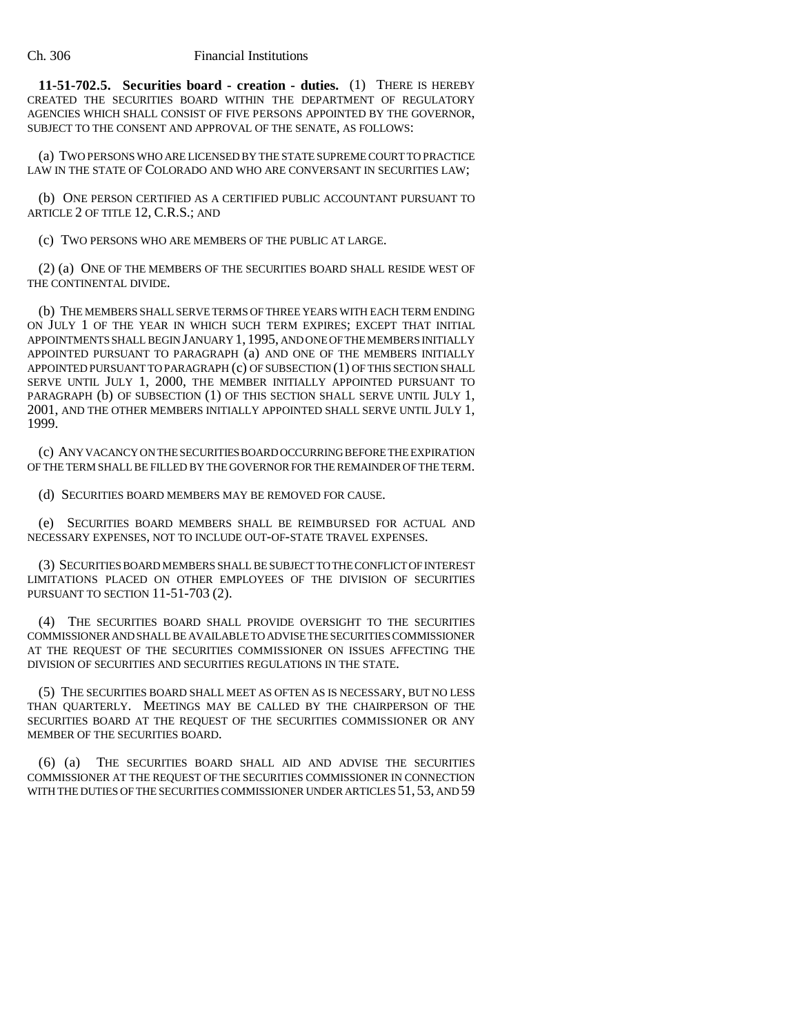**11-51-702.5. Securities board - creation - duties.** (1) THERE IS HEREBY CREATED THE SECURITIES BOARD WITHIN THE DEPARTMENT OF REGULATORY AGENCIES WHICH SHALL CONSIST OF FIVE PERSONS APPOINTED BY THE GOVERNOR, SUBJECT TO THE CONSENT AND APPROVAL OF THE SENATE, AS FOLLOWS:

(a) TWO PERSONS WHO ARE LICENSED BY THE STATE SUPREME COURT TO PRACTICE LAW IN THE STATE OF COLORADO AND WHO ARE CONVERSANT IN SECURITIES LAW;

(b) ONE PERSON CERTIFIED AS A CERTIFIED PUBLIC ACCOUNTANT PURSUANT TO ARTICLE 2 OF TITLE 12, C.R.S.; AND

(c) TWO PERSONS WHO ARE MEMBERS OF THE PUBLIC AT LARGE.

(2) (a) ONE OF THE MEMBERS OF THE SECURITIES BOARD SHALL RESIDE WEST OF THE CONTINENTAL DIVIDE.

(b) THE MEMBERS SHALL SERVE TERMS OF THREE YEARS WITH EACH TERM ENDING ON JULY 1 OF THE YEAR IN WHICH SUCH TERM EXPIRES; EXCEPT THAT INITIAL APPOINTMENTS SHALL BEGIN JANUARY 1, 1995, AND ONE OF THE MEMBERS INITIALLY APPOINTED PURSUANT TO PARAGRAPH (a) AND ONE OF THE MEMBERS INITIALLY APPOINTED PURSUANT TO PARAGRAPH (c) OF SUBSECTION (1) OF THIS SECTION SHALL SERVE UNTIL JULY 1, 2000, THE MEMBER INITIALLY APPOINTED PURSUANT TO PARAGRAPH (b) OF SUBSECTION (1) OF THIS SECTION SHALL SERVE UNTIL JULY 1, 2001, AND THE OTHER MEMBERS INITIALLY APPOINTED SHALL SERVE UNTIL JULY 1, 1999.

(c) ANY VACANCY ON THE SECURITIES BOARD OCCURRING BEFORE THE EXPIRATION OF THE TERM SHALL BE FILLED BY THE GOVERNOR FOR THE REMAINDER OF THE TERM.

(d) SECURITIES BOARD MEMBERS MAY BE REMOVED FOR CAUSE.

(e) SECURITIES BOARD MEMBERS SHALL BE REIMBURSED FOR ACTUAL AND NECESSARY EXPENSES, NOT TO INCLUDE OUT-OF-STATE TRAVEL EXPENSES.

(3) SECURITIES BOARD MEMBERS SHALL BE SUBJECT TO THE CONFLICT OF INTEREST LIMITATIONS PLACED ON OTHER EMPLOYEES OF THE DIVISION OF SECURITIES PURSUANT TO SECTION 11-51-703 (2).

(4) THE SECURITIES BOARD SHALL PROVIDE OVERSIGHT TO THE SECURITIES COMMISSIONER AND SHALL BE AVAILABLE TO ADVISE THE SECURITIES COMMISSIONER AT THE REQUEST OF THE SECURITIES COMMISSIONER ON ISSUES AFFECTING THE DIVISION OF SECURITIES AND SECURITIES REGULATIONS IN THE STATE.

(5) THE SECURITIES BOARD SHALL MEET AS OFTEN AS IS NECESSARY, BUT NO LESS THAN QUARTERLY. MEETINGS MAY BE CALLED BY THE CHAIRPERSON OF THE SECURITIES BOARD AT THE REQUEST OF THE SECURITIES COMMISSIONER OR ANY MEMBER OF THE SECURITIES BOARD.

(6) (a) THE SECURITIES BOARD SHALL AID AND ADVISE THE SECURITIES COMMISSIONER AT THE REQUEST OF THE SECURITIES COMMISSIONER IN CONNECTION WITH THE DUTIES OF THE SECURITIES COMMISSIONER UNDER ARTICLES 51, 53, AND 59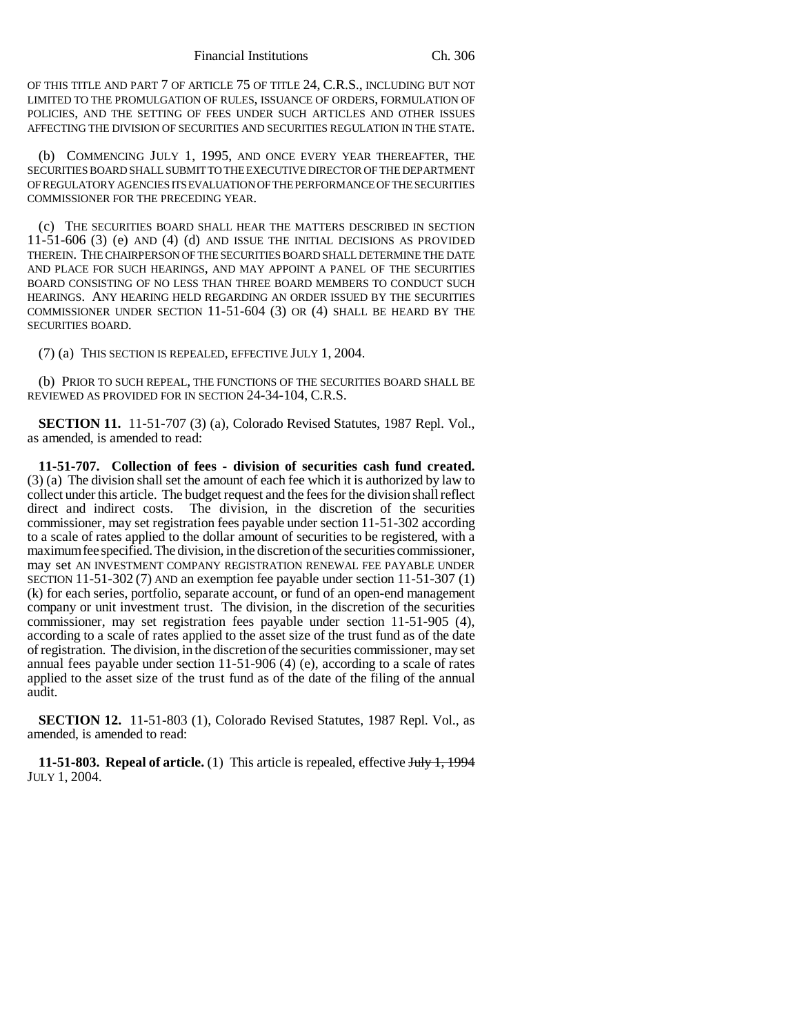OF THIS TITLE AND PART 7 OF ARTICLE 75 OF TITLE 24, C.R.S., INCLUDING BUT NOT LIMITED TO THE PROMULGATION OF RULES, ISSUANCE OF ORDERS, FORMULATION OF POLICIES, AND THE SETTING OF FEES UNDER SUCH ARTICLES AND OTHER ISSUES AFFECTING THE DIVISION OF SECURITIES AND SECURITIES REGULATION IN THE STATE.

(b) COMMENCING JULY 1, 1995, AND ONCE EVERY YEAR THEREAFTER, THE SECURITIES BOARD SHALL SUBMIT TO THE EXECUTIVE DIRECTOR OF THE DEPARTMENT OF REGULATORY AGENCIES ITS EVALUATION OF THE PERFORMANCE OF THE SECURITIES COMMISSIONER FOR THE PRECEDING YEAR.

(c) THE SECURITIES BOARD SHALL HEAR THE MATTERS DESCRIBED IN SECTION 11-51-606 (3) (e) AND (4) (d) AND ISSUE THE INITIAL DECISIONS AS PROVIDED THEREIN. THE CHAIRPERSON OF THE SECURITIES BOARD SHALL DETERMINE THE DATE AND PLACE FOR SUCH HEARINGS, AND MAY APPOINT A PANEL OF THE SECURITIES BOARD CONSISTING OF NO LESS THAN THREE BOARD MEMBERS TO CONDUCT SUCH HEARINGS. ANY HEARING HELD REGARDING AN ORDER ISSUED BY THE SECURITIES COMMISSIONER UNDER SECTION 11-51-604 (3) OR (4) SHALL BE HEARD BY THE SECURITIES BOARD.

(7) (a) THIS SECTION IS REPEALED, EFFECTIVE JULY 1, 2004.

(b) PRIOR TO SUCH REPEAL, THE FUNCTIONS OF THE SECURITIES BOARD SHALL BE REVIEWED AS PROVIDED FOR IN SECTION 24-34-104, C.R.S.

**SECTION 11.** 11-51-707 (3) (a), Colorado Revised Statutes, 1987 Repl. Vol., as amended, is amended to read:

**11-51-707. Collection of fees - division of securities cash fund created.** (3) (a) The division shall set the amount of each fee which it is authorized by law to collect under this article. The budget request and the fees for the division shall reflect direct and indirect costs. The division, in the discretion of the securities commissioner, may set registration fees payable under section 11-51-302 according to a scale of rates applied to the dollar amount of securities to be registered, with a maximum fee specified. The division, in the discretion of the securities commissioner, may set AN INVESTMENT COMPANY REGISTRATION RENEWAL FEE PAYABLE UNDER SECTION 11-51-302 (7) AND an exemption fee payable under section 11-51-307 (1) (k) for each series, portfolio, separate account, or fund of an open-end management company or unit investment trust. The division, in the discretion of the securities commissioner, may set registration fees payable under section 11-51-905 (4), according to a scale of rates applied to the asset size of the trust fund as of the date of registration. The division, in the discretion of the securities commissioner, may set annual fees payable under section 11-51-906 (4) (e), according to a scale of rates applied to the asset size of the trust fund as of the date of the filing of the annual audit.

**SECTION 12.** 11-51-803 (1), Colorado Revised Statutes, 1987 Repl. Vol., as amended, is amended to read:

**11-51-803. Repeal of article.** (1) This article is repealed, effective July 1, 1994 JULY 1, 2004.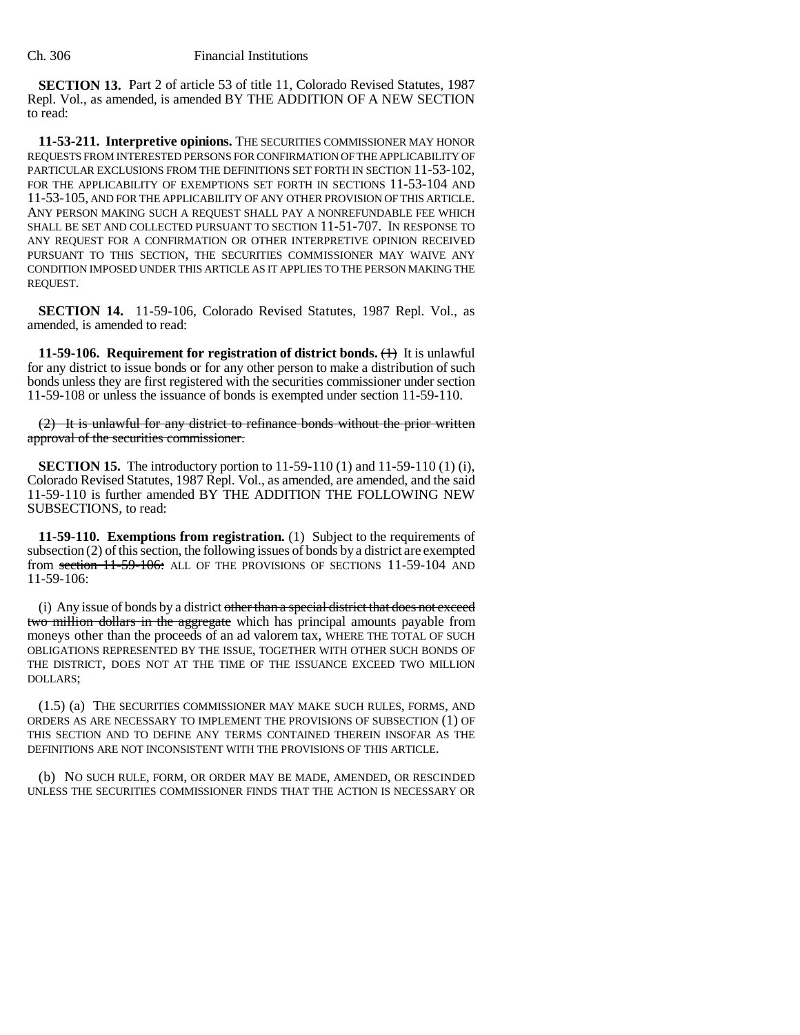**SECTION 13.** Part 2 of article 53 of title 11, Colorado Revised Statutes, 1987 Repl. Vol., as amended, is amended BY THE ADDITION OF A NEW SECTION to read:

**11-53-211. Interpretive opinions.** THE SECURITIES COMMISSIONER MAY HONOR REQUESTS FROM INTERESTED PERSONS FOR CONFIRMATION OF THE APPLICABILITY OF PARTICULAR EXCLUSIONS FROM THE DEFINITIONS SET FORTH IN SECTION 11-53-102, FOR THE APPLICABILITY OF EXEMPTIONS SET FORTH IN SECTIONS  $11-53-104$  and 11-53-105, AND FOR THE APPLICABILITY OF ANY OTHER PROVISION OF THIS ARTICLE. ANY PERSON MAKING SUCH A REQUEST SHALL PAY A NONREFUNDABLE FEE WHICH SHALL BE SET AND COLLECTED PURSUANT TO SECTION 11-51-707. IN RESPONSE TO ANY REQUEST FOR A CONFIRMATION OR OTHER INTERPRETIVE OPINION RECEIVED PURSUANT TO THIS SECTION, THE SECURITIES COMMISSIONER MAY WAIVE ANY CONDITION IMPOSED UNDER THIS ARTICLE AS IT APPLIES TO THE PERSON MAKING THE REQUEST.

**SECTION 14.** 11-59-106, Colorado Revised Statutes, 1987 Repl. Vol., as amended, is amended to read:

**11-59-106. Requirement for registration of district bonds.**  $\left\langle \uparrow \right\rangle$  It is unlawful for any district to issue bonds or for any other person to make a distribution of such bonds unless they are first registered with the securities commissioner under section 11-59-108 or unless the issuance of bonds is exempted under section 11-59-110.

(2) It is unlawful for any district to refinance bonds without the prior written approval of the securities commissioner.

**SECTION 15.** The introductory portion to 11-59-110 (1) and 11-59-110 (1) (i), Colorado Revised Statutes, 1987 Repl. Vol., as amended, are amended, and the said 11-59-110 is further amended BY THE ADDITION THE FOLLOWING NEW SUBSECTIONS, to read:

**11-59-110. Exemptions from registration.** (1) Subject to the requirements of subsection (2) of this section, the following issues of bonds by a district are exempted from section 11-59-106: ALL OF THE PROVISIONS OF SECTIONS 11-59-104 AND 11-59-106:

(i) Any issue of bonds by a district other than a special district that does not exceed two million dollars in the aggregate which has principal amounts payable from moneys other than the proceeds of an ad valorem tax, WHERE THE TOTAL OF SUCH OBLIGATIONS REPRESENTED BY THE ISSUE, TOGETHER WITH OTHER SUCH BONDS OF THE DISTRICT, DOES NOT AT THE TIME OF THE ISSUANCE EXCEED TWO MILLION DOLLARS;

(1.5) (a) THE SECURITIES COMMISSIONER MAY MAKE SUCH RULES, FORMS, AND ORDERS AS ARE NECESSARY TO IMPLEMENT THE PROVISIONS OF SUBSECTION (1) OF THIS SECTION AND TO DEFINE ANY TERMS CONTAINED THEREIN INSOFAR AS THE DEFINITIONS ARE NOT INCONSISTENT WITH THE PROVISIONS OF THIS ARTICLE.

(b) NO SUCH RULE, FORM, OR ORDER MAY BE MADE, AMENDED, OR RESCINDED UNLESS THE SECURITIES COMMISSIONER FINDS THAT THE ACTION IS NECESSARY OR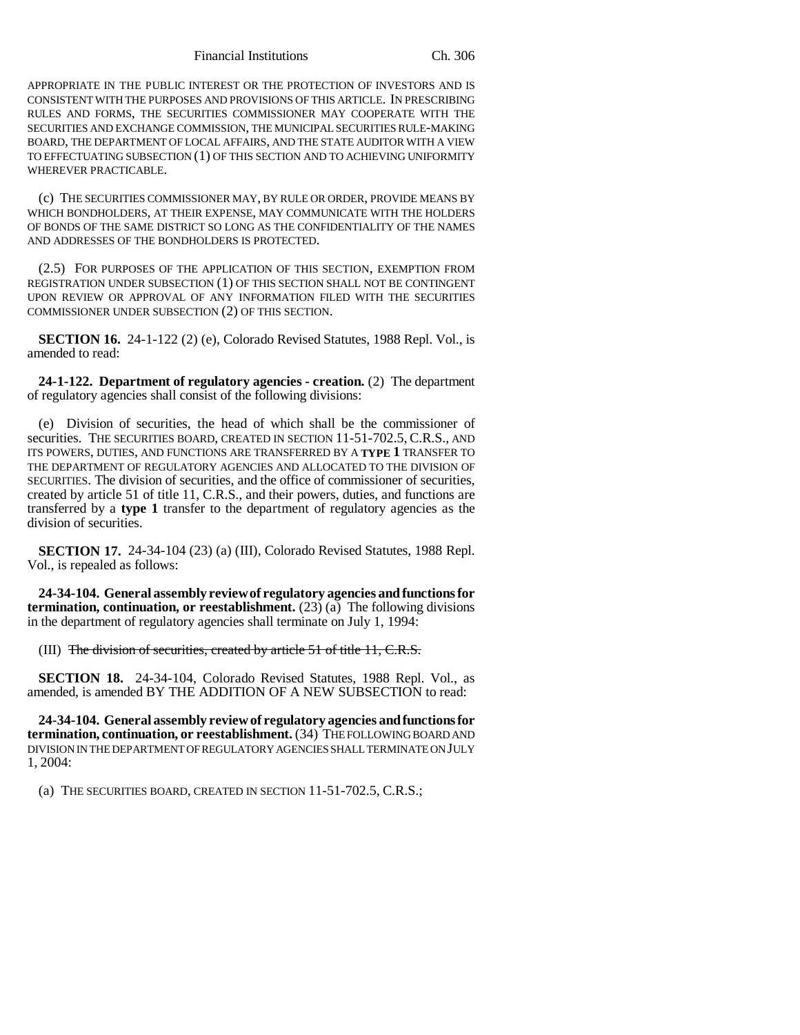Financial Institutions Ch. 306

APPROPRIATE IN THE PUBLIC INTEREST OR THE PROTECTION OF INVESTORS AND IS CONSISTENT WITH THE PURPOSES AND PROVISIONS OF THIS ARTICLE. IN PRESCRIBING RULES AND FORMS, THE SECURITIES COMMISSIONER MAY COOPERATE WITH THE SECURITIES AND EXCHANGE COMMISSION, THE MUNICIPAL SECURITIES RULE-MAKING BOARD, THE DEPARTMENT OF LOCAL AFFAIRS, AND THE STATE AUDITOR WITH A VIEW TO EFFECTUATING SUBSECTION (1) OF THIS SECTION AND TO ACHIEVING UNIFORMITY WHEREVER PRACTICABLE.

(c) THE SECURITIES COMMISSIONER MAY, BY RULE OR ORDER, PROVIDE MEANS BY WHICH BONDHOLDERS, AT THEIR EXPENSE, MAY COMMUNICATE WITH THE HOLDERS OF BONDS OF THE SAME DISTRICT SO LONG AS THE CONFIDENTIALITY OF THE NAMES AND ADDRESSES OF THE BONDHOLDERS IS PROTECTED.

(2.5) FOR PURPOSES OF THE APPLICATION OF THIS SECTION, EXEMPTION FROM REGISTRATION UNDER SUBSECTION (1) OF THIS SECTION SHALL NOT BE CONTINGENT UPON REVIEW OR APPROVAL OF ANY INFORMATION FILED WITH THE SECURITIES COMMISSIONER UNDER SUBSECTION (2) OF THIS SECTION.

**SECTION 16.** 24-1-122 (2) (e), Colorado Revised Statutes, 1988 Repl. Vol., is amended to read:

**24-1-122. Department of regulatory agencies - creation.** (2) The department of regulatory agencies shall consist of the following divisions:

(e) Division of securities, the head of which shall be the commissioner of securities. THE SECURITIES BOARD, CREATED IN SECTION 11-51-702.5, C.R.S., AND ITS POWERS, DUTIES, AND FUNCTIONS ARE TRANSFERRED BY A **TYPE 1** TRANSFER TO THE DEPARTMENT OF REGULATORY AGENCIES AND ALLOCATED TO THE DIVISION OF SECURITIES. The division of securities, and the office of commissioner of securities, created by article 51 of title 11, C.R.S., and their powers, duties, and functions are transferred by a **type 1** transfer to the department of regulatory agencies as the division of securities.

**SECTION 17.** 24-34-104 (23) (a) (III), Colorado Revised Statutes, 1988 Repl. Vol., is repealed as follows:

**24-34-104. General assembly review of regulatory agencies and functions for termination, continuation, or reestablishment.** (23) (a) The following divisions in the department of regulatory agencies shall terminate on July 1, 1994:

(III) The division of securities, created by article  $51$  of title  $11, C.R.S.$ 

**SECTION 18.** 24-34-104, Colorado Revised Statutes, 1988 Repl. Vol., as amended, is amended BY THE ADDITION OF A NEW SUBSECTION to read:

**24-34-104. General assembly review of regulatory agencies and functions for termination, continuation, or reestablishment.** (34) THE FOLLOWING BOARD AND DIVISION IN THE DEPARTMENT OF REGULATORY AGENCIES SHALL TERMINATE ON JULY 1, 2004:

(a) THE SECURITIES BOARD, CREATED IN SECTION 11-51-702.5, C.R.S.;